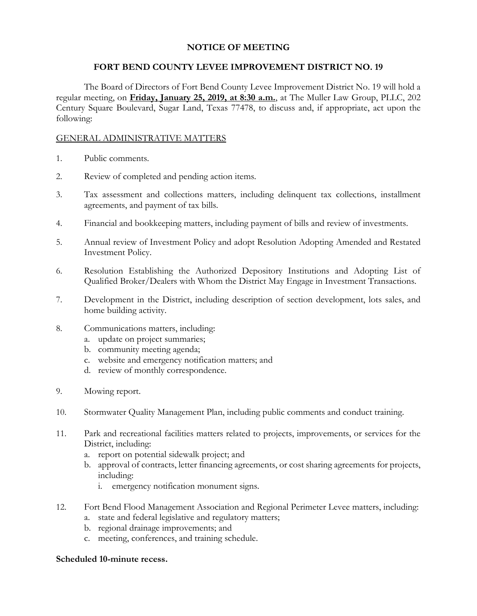# **NOTICE OF MEETING**

### **FORT BEND COUNTY LEVEE IMPROVEMENT DISTRICT NO. 19**

The Board of Directors of Fort Bend County Levee Improvement District No. 19 will hold a regular meeting, on **Friday, January 25, 2019, at 8:30 a.m.**, at The Muller Law Group, PLLC, 202 Century Square Boulevard, Sugar Land, Texas 77478, to discuss and, if appropriate, act upon the following:

### GENERAL ADMINISTRATIVE MATTERS

- 1. Public comments.
- 2. Review of completed and pending action items.
- 3. Tax assessment and collections matters, including delinquent tax collections, installment agreements, and payment of tax bills.
- 4. Financial and bookkeeping matters, including payment of bills and review of investments.
- 5. Annual review of Investment Policy and adopt Resolution Adopting Amended and Restated Investment Policy.
- 6. Resolution Establishing the Authorized Depository Institutions and Adopting List of Qualified Broker/Dealers with Whom the District May Engage in Investment Transactions.
- 7. Development in the District, including description of section development, lots sales, and home building activity.
- 8. Communications matters, including:
	- a. update on project summaries;
	- b. community meeting agenda;
	- c. website and emergency notification matters; and
	- d. review of monthly correspondence.
- 9. Mowing report.
- 10. Stormwater Quality Management Plan, including public comments and conduct training.
- 11. Park and recreational facilities matters related to projects, improvements, or services for the District, including:
	- a. report on potential sidewalk project; and
	- b. approval of contracts, letter financing agreements, or cost sharing agreements for projects, including:
		- i. emergency notification monument signs.
- 12. Fort Bend Flood Management Association and Regional Perimeter Levee matters, including:
	- a. state and federal legislative and regulatory matters;
	- b. regional drainage improvements; and
	- c. meeting, conferences, and training schedule.

#### **Scheduled 10-minute recess.**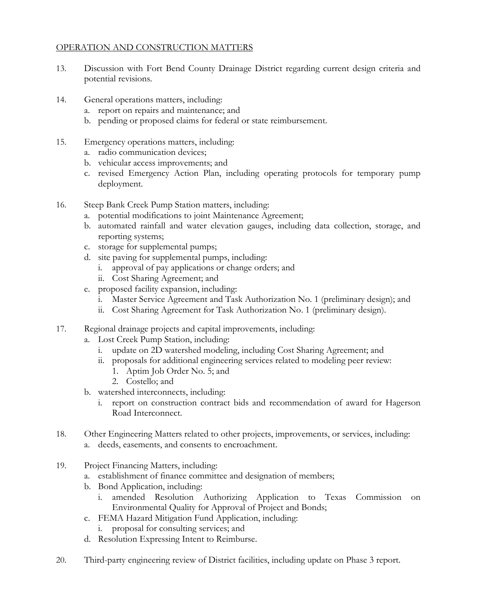## OPERATION AND CONSTRUCTION MATTERS

- 13. Discussion with Fort Bend County Drainage District regarding current design criteria and potential revisions.
- 14. General operations matters, including:
	- a. report on repairs and maintenance; and
	- b. pending or proposed claims for federal or state reimbursement.
- 15. Emergency operations matters, including:
	- a. radio communication devices;
	- b. vehicular access improvements; and
	- c. revised Emergency Action Plan, including operating protocols for temporary pump deployment.
- 16. Steep Bank Creek Pump Station matters, including:
	- a. potential modifications to joint Maintenance Agreement;
	- b. automated rainfall and water elevation gauges, including data collection, storage, and reporting systems;
	- c. storage for supplemental pumps;
	- d. site paving for supplemental pumps, including:
		- i. approval of pay applications or change orders; and
		- ii. Cost Sharing Agreement; and
	- e. proposed facility expansion, including:
		- i. Master Service Agreement and Task Authorization No. 1 (preliminary design); and
		- ii. Cost Sharing Agreement for Task Authorization No. 1 (preliminary design).
- 17. Regional drainage projects and capital improvements, including:
	- a. Lost Creek Pump Station, including:
		- i. update on 2D watershed modeling, including Cost Sharing Agreement; and
		- ii. proposals for additional engineering services related to modeling peer review:
			- 1. Aptim Job Order No. 5; and
			- 2. Costello; and
	- b. watershed interconnects, including:
		- i. report on construction contract bids and recommendation of award for Hagerson Road Interconnect.
- 18. Other Engineering Matters related to other projects, improvements, or services, including: a. deeds, easements, and consents to encroachment.
- 19. Project Financing Matters, including:
	- a. establishment of finance committee and designation of members;
	- b. Bond Application, including:
		- i. amended Resolution Authorizing Application to Texas Commission on Environmental Quality for Approval of Project and Bonds;
	- c. FEMA Hazard Mitigation Fund Application, including:
		- i. proposal for consulting services; and
	- d. Resolution Expressing Intent to Reimburse.
- 20. Third-party engineering review of District facilities, including update on Phase 3 report.